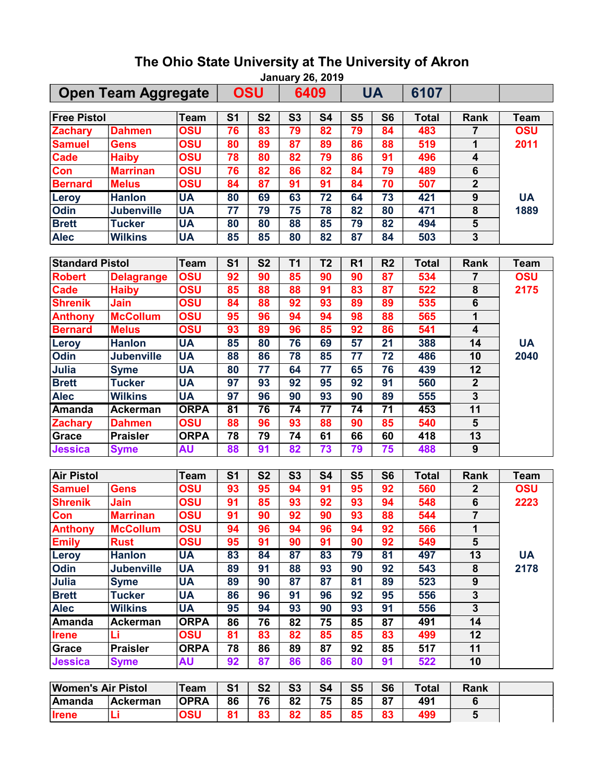|                            | <b>January 26, 2019</b>          |                    |                       |                          |                       |                       |                                    |                 |              |                                            |             |  |
|----------------------------|----------------------------------|--------------------|-----------------------|--------------------------|-----------------------|-----------------------|------------------------------------|-----------------|--------------|--------------------------------------------|-------------|--|
| <b>Open Team Aggregate</b> |                                  |                    |                       | <b>OSU</b>               |                       | 6409                  |                                    | <b>UA</b>       | 6107         |                                            |             |  |
| <b>Free Pistol</b>         |                                  | <b>Team</b>        | S <sub>1</sub>        | <b>S2</b>                | S <sub>3</sub>        | <b>S4</b>             | S <sub>5</sub>                     | S <sub>6</sub>  | <b>Total</b> | Rank                                       | <b>Team</b> |  |
| <b>Zachary</b>             | <b>Dahmen</b>                    | <b>OSU</b>         | 76                    | 83                       | 79                    | 82                    | 79                                 | 84              | 483          | 7                                          | <b>OSU</b>  |  |
| <b>Samuel</b>              | Gens                             | <b>OSU</b>         | 80                    | 89                       | 87                    | 89                    | 86                                 | 88              | 519          | 1                                          | 2011        |  |
| <b>Cade</b>                | <b>Haiby</b>                     | OSU                | 78                    | 80                       | 82                    | 79                    | 86                                 | 91              | 496          | 4                                          |             |  |
| Con                        | <b>Marrinan</b>                  | <b>OSU</b>         | 76                    | 82                       | 86                    | 82                    | 84                                 | 79              | 489          | $\overline{6}$                             |             |  |
| <b>Bernard</b>             | <b>Melus</b>                     | <b>OSU</b>         | 84                    | $\overline{\textbf{87}}$ | 91                    | 91                    | 84                                 | 70              | 507          | $\overline{2}$                             |             |  |
| <b>Leroy</b>               | <b>Hanlon</b>                    | <b>UA</b>          | 80                    | 69                       | 63                    | 72                    | 64                                 | 73              | 421          | 9                                          | <b>UA</b>   |  |
| <b>Odin</b>                | <b>Jubenville</b>                | <b>UA</b>          | 77                    | 79                       | 75                    | 78                    | 82                                 | 80              | 471          | $\overline{\mathbf{8}}$                    | 1889        |  |
| <b>Brett</b>               | <b>Tucker</b>                    | <b>UA</b>          | 80                    | 80                       | 88                    | 85                    | 79                                 | 82              | 494          | 5                                          |             |  |
| <b>Alec</b>                | <b>Wilkins</b>                   | <b>UA</b>          | 85                    | 85                       | 80                    | 82                    | 87                                 | 84              | 503          | 3                                          |             |  |
|                            |                                  |                    |                       |                          |                       |                       |                                    |                 |              |                                            |             |  |
| <b>Standard Pistol</b>     |                                  | <b>Team</b>        | S <sub>1</sub>        | <b>S2</b>                | <b>T1</b>             | T <sub>2</sub>        | R <sub>1</sub>                     | R <sub>2</sub>  | <b>Total</b> | Rank                                       | <b>Team</b> |  |
| <b>Robert</b>              | <b>Delagrange</b>                | OSU                | 92                    | 90                       | 85                    | 90                    | 90                                 | 87              | 534          | 7                                          | <b>OSU</b>  |  |
| <b>Cade</b>                | <b>Haiby</b>                     | OSU                | 85                    | 88                       | 88                    | 91                    | 83                                 | 87              | 522          | 8                                          | 2175        |  |
| <b>Shrenik</b>             | Jain                             | <b>OSU</b>         | 84                    | 88                       | 92                    | 93                    | 89                                 | 89              | 535          | 6                                          |             |  |
| <b>Anthony</b>             | <b>McCollum</b>                  | OSU                | 95                    | 96                       | 94                    | 94                    | 98                                 | 88              | 565          | 1                                          |             |  |
| <b>Bernard</b>             | <b>Melus</b>                     | OSU                | 93                    | 89                       | 96                    | 85                    | 92                                 | 86              | 541          | $\overline{\mathbf{4}}$                    |             |  |
| Leroy                      | <b>Hanlon</b>                    | <b>UA</b>          | 85                    | 80                       | 76                    | 69                    | 57                                 | $\overline{21}$ | 388          | 14                                         | <b>UA</b>   |  |
| <b>Odin</b>                | <b>Jubenville</b>                | <b>UA</b>          | 88                    | 86                       | 78                    | 85                    | 77                                 | 72              | 486          | 10                                         | 2040        |  |
| Julia                      | <b>Syme</b>                      | <b>UA</b>          | 80                    | 77                       | 64                    | 77                    | 65                                 | 76              | 439          | 12                                         |             |  |
| <b>Brett</b>               | <b>Tucker</b>                    | <b>UA</b>          | 97                    | 93                       | 92                    | 95                    | 92                                 | 91              | 560          | $\mathbf{2}$                               |             |  |
| <b>Alec</b>                | <b>Wilkins</b>                   | <b>UA</b>          | 97                    | 96                       | 90                    | 93                    | 90                                 | 89              | 555          | $\overline{\mathbf{3}}$                    |             |  |
| <b>Amanda</b>              | <b>Ackerman</b>                  | <b>ORPA</b>        | $\overline{81}$<br>88 | 76<br>96                 | $\overline{74}$<br>93 | $\overline{77}$<br>88 | $\overline{74}$<br>$\overline{90}$ | $\overline{71}$ | 453<br>540   | $\overline{11}$<br>$\overline{\mathbf{5}}$ |             |  |
| <b>Zachary</b>             | <b>Dahmen</b><br><b>Praisler</b> | OSU<br><b>ORPA</b> | 78                    | 79                       |                       | 61                    | 66                                 | 85<br>60        | 418          | $\overline{13}$                            |             |  |
| Grace<br><b>Jessica</b>    |                                  | <b>AU</b>          | 88                    | 91                       | 74<br>82              | 73                    | 79                                 | 75              | 488          | $\overline{9}$                             |             |  |
|                            | <b>Syme</b>                      |                    |                       |                          |                       |                       |                                    |                 |              |                                            |             |  |
| <b>Air Pistol</b>          |                                  | <b>Team</b>        | S <sub>1</sub>        | <b>S2</b>                | <b>S3</b>             | <b>S4</b>             | S <sub>5</sub>                     | S <sub>6</sub>  | <b>Total</b> | Rank                                       | <b>Team</b> |  |
| <b>Samuel</b>              | <b>Gens</b>                      | <b>OSU</b>         | 93                    | 95                       | 94                    | 91                    | 95                                 | 92              | 560          | $\boldsymbol{2}$                           | <b>OSU</b>  |  |
| <b>Shrenik</b>             | Jain                             | OSU                | 91                    | 85                       | 93                    | 92                    | 93                                 | 94              | 548          | $\overline{6}$                             | 2223        |  |
| Con                        | <b>Marrinan</b>                  | OSU                | 91                    | 90                       | 92                    | 90                    | 93                                 | 88              | 544          | $\overline{7}$                             |             |  |
| <b>Anthony</b>             | <b>McCollum</b>                  | <b>OSU</b>         | 94                    | 96                       | 94                    | 96                    | 94                                 | 92              | 566          | 1                                          |             |  |
| <b>Emily</b>               | <b>Rust</b>                      | <b>OSU</b>         | 95                    | 91                       | 90                    | 91                    | 90                                 | 92              | 549          | $\overline{\mathbf{5}}$                    |             |  |
| Leroy                      | <b>Hanlon</b>                    | <b>UA</b>          | 83                    | 84                       | 87                    | 83                    | 79                                 | 81              | 497          | 13                                         | <b>UA</b>   |  |
| Odin                       | <b>Jubenville</b>                | <b>UA</b>          | 89                    | 91                       | 88                    | 93                    | 90                                 | 92              | 543          | 8                                          | 2178        |  |
| Julia                      | <b>Syme</b>                      | <b>UA</b>          | 89                    | 90                       | 87                    | 87                    | 81                                 | 89              | 523          | $\boldsymbol{9}$                           |             |  |
| <b>Brett</b>               | <b>Tucker</b>                    | <b>UA</b>          | 86                    | 96                       | 91                    | 96                    | 92                                 | 95              | 556          | $\overline{\mathbf{3}}$                    |             |  |
| <b>Alec</b>                | <b>Wilkins</b>                   | <b>UA</b>          | 95                    | 94                       | 93                    | 90                    | 93                                 | 91              | 556          | $\overline{\mathbf{3}}$                    |             |  |
| Amanda                     | <b>Ackerman</b>                  | <b>ORPA</b>        | 86                    | 76                       | 82                    | 75                    | 85                                 | 87              | 491          | 14                                         |             |  |
| <b>Irene</b>               | Li                               | <b>OSU</b>         | 81                    | 83                       | 82                    | 85                    | 85                                 | 83              | 499          | 12                                         |             |  |
| Grace                      | <b>Praisler</b>                  | <b>ORPA</b>        | 78                    | 86                       | 89                    | 87                    | 92                                 | 85              | 517          | 11                                         |             |  |
| <b>Jessica</b>             | <b>Syme</b>                      | <b>AU</b>          | 92                    | 87                       | 86                    | 86                    | 80                                 | 91              | 522          | 10                                         |             |  |
|                            |                                  |                    |                       |                          |                       |                       |                                    |                 |              |                                            |             |  |
| <b>Women's Air Pistol</b>  |                                  | <b>Team</b>        | S <sub>1</sub>        | <b>S2</b>                | <b>S3</b>             | <b>S4</b>             | S <sub>5</sub>                     | S <sub>6</sub>  | <b>Total</b> | Rank                                       |             |  |
| <b>Amanda</b>              | Ackerman                         | <b>OPRA</b>        | 86                    | 76                       | 82                    | 75                    | 85                                 | 87              | 491          | 6                                          |             |  |
| <b>Irene</b>               | Li                               | <b>OSU</b>         | 81                    | 83                       | 82                    | 85                    | 85                                 | 83              | 499          | 5                                          |             |  |

## The Ohio State University at The University of Akron